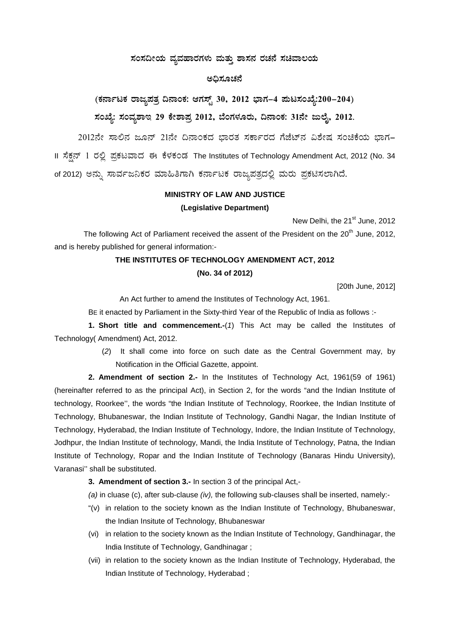## ಸಂಸದೀಯ ವ್ಯವಹಾರಗಳು ಮತ್ತು ಶಾಸನ ರಚನೆ ಸಚಿವಾಲಯ

## ಅಧಿಸೂಚನೆ

(ಕರ್ನಾಟಕ ರಾಜ್ಯಪತ್ರ ದಿನಾಂಕ: ಆಗಸ್ಟ್ 30, 2012 ಭಾಗ–4 ಮಟಸಂಖ್ಯೆ:200–204) ಸಂಖ್ಯೆ: ಸಂವ್ಯಶಾಇ 29 ಕೇಶಾಪ್ತ 2012, ಬೆಂಗಳೂರು, ದಿನಾಂಕ: 31ನೇ ಜುಲೈ, 2012.

2012ನೇ ಸಾಲಿನ ಜೂನ್ 21ನೇ ದಿನಾಂಕದ ಭಾರತ ಸರ್ಕಾರದ ಗೆಜೆಟ್ ವಿಶೇಷ ಸಂಚಿಕೆಯ ಭಾಗ-II ಸೆಕ್ಷನ್ 1 ರಲ್ಲಿ ಪ್ರಕಟವಾದ ಈ ಕೆಳಕಂಡ The Institutes of Technology Amendment Act, 2012 (No. 34 of 2012) ಅನ್ನು ಸಾರ್ವಜನಿಕರ ಮಾಹಿತಿಗಾಗಿ ಕರ್ನಾಟಕ ರಾಜ್ಯಪತ್ರದಲ್ಲಿ ಮರು ಪ್ರಕಟಿಸಲಾಗಿದೆ.

# **MINISTRY OF LAW AND JUSTICE** (Legislative Department)

New Delhi, the 21<sup>st</sup> June, 2012

The following Act of Parliament received the assent of the President on the 20<sup>th</sup> June, 2012, and is hereby published for general information:-

#### THE INSTITUTES OF TECHNOLOGY AMENDMENT ACT, 2012

#### (No. 34 of 2012)

[20th June, 2012]

An Act further to amend the Institutes of Technology Act, 1961.

BE it enacted by Parliament in the Sixty-third Year of the Republic of India as follows :-

1. Short title and commencement.- $(1)$  This Act may be called the Institutes of Technology (Amendment) Act, 2012.

> (2) It shall come into force on such date as the Central Government may, by Notification in the Official Gazette, appoint.

2. Amendment of section 2.- In the Institutes of Technology Act, 1961(59 of 1961) (hereinafter referred to as the principal Act), in Section 2, for the words "and the Indian Institute of technology, Roorkee", the words "the Indian Institute of Technology, Roorkee, the Indian Institute of Technology, Bhubaneswar, the Indian Institute of Technology, Gandhi Nagar, the Indian Institute of Technology, Hyderabad, the Indian Institute of Technology, Indore, the Indian Institute of Technology, Jodhpur, the Indian Institute of technology, Mandi, the India Institute of Technology, Patna, the Indian Institute of Technology, Ropar and the Indian Institute of Technology (Banaras Hindu University), Varanasi" shall be substituted.

#### 3. Amendment of section 3.- In section 3 of the principal Act,-

(a) in cluase (c), after sub-clause  $(iv)$ , the following sub-clauses shall be inserted, namely:-

- "(v) in relation to the society known as the Indian Institute of Technology, Bhubaneswar, the Indian Insitute of Technology, Bhubaneswar
- (vi) in relation to the society known as the Indian Institute of Technology, Gandhinagar, the India Institute of Technology, Gandhinagar;
- (vii) in relation to the society known as the Indian Institute of Technology, Hyderabad, the Indian Institute of Technology, Hyderabad;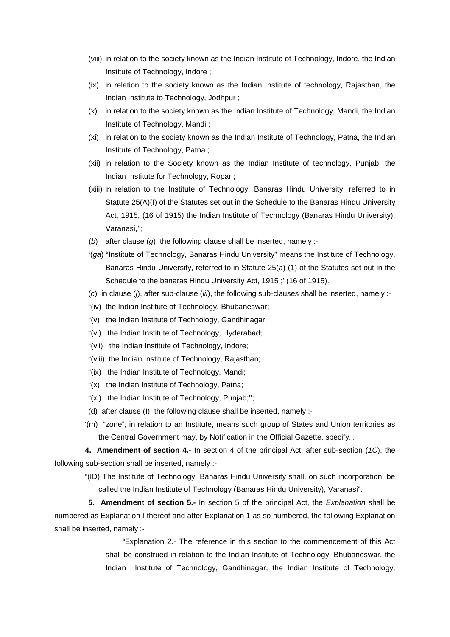- (viii) in relation to the society known as the Indian Institute of Technology, Indore, the Indian Institute of Technology, Indore ;
- (ix) in relation to the society known as the Indian Institute of technology, Rajasthan, the Indian Institute to Technology, Jodhpur ;
- (x) in relation to the society known as the Indian Institute of Technology, Mandi, the Indian Institute of Technology, Mandi ;
- (xi) in relation to the society known as the Indian Institute of Technology, Patna, the Indian Institute of Technology, Patna ;
- (xii) in relation to the Society known as the Indian Institute of technology, Punjab, the Indian Institute for Technology, Ropar ;
- (xiii) in relation to the Institute of Technology, Banaras Hindu University, referred to in Statute 25(A)(I) of the Statutes set out in the Schedule to the Banaras Hindu University Act, 1915, (16 of 1915) the Indian Institute of Technology (Banaras Hindu University), Varanasi,'';
- (*b*) after clause (*g*), the following clause shall be inserted, namely :-
- '(*ga*) "Institute of Technology, Banaras Hindu University" means the Institute of Technology, Banaras Hindu University, referred to in Statute 25(a) (1) of the Statutes set out in the Schedule to the banaras Hindu University Act, 1915;' (16 of 1915).
- (*c*) in clause (*j*), after sub-clause (*iii*), the following sub-clauses shall be inserted, namely :-
- "(iv) the Indian Institute of Technology, Bhubaneswar;
- "(v) the Indian Institute of Technology, Gandhinagar;
- "(vi) the Indian Institute of Technology, Hyderabad;
- "(vii) the Indian Institute of Technology, Indore;
- "(viii) the Indian Institute of Technology, Rajasthan;
- "(ix) the Indian Institute of Technology, Mandi;
- "(x) the Indian Institute of Technology, Patna;
- "(xi) the Indian Institute of Technology, Punjab;'';
- (d) after clause (I), the following clause shall be inserted, namely :-
- '(m) "zone", in relation to an Institute, means such group of States and Union territories as the Central Government may, by Notification in the Official Gazette, specify.'.

**4. Amendment of section 4.-** In section 4 of the principal Act, after sub-section (*1C*), the following sub-section shall be inserted, namely :-

"(ID) The Institute of Technology, Banaras Hindu University shall, on such incorporation, be called the Indian Institute of Technology (Banaras Hindu University), Varanasi".

**5. Amendment of section 5.-** In section 5 of the principal Act, the *Explanation* shall be numbered as Explanation I thereof and after Explanation 1 as so numbered, the following Explanation shall be inserted, namely :-

> *"*Explanation 2.- The reference in this section to the commencement of this Act shall be construed in relation to the Indian Institute of Technology, Bhubaneswar, the Indian Institute of Technology, Gandhinagar, the Indian Institute of Technology,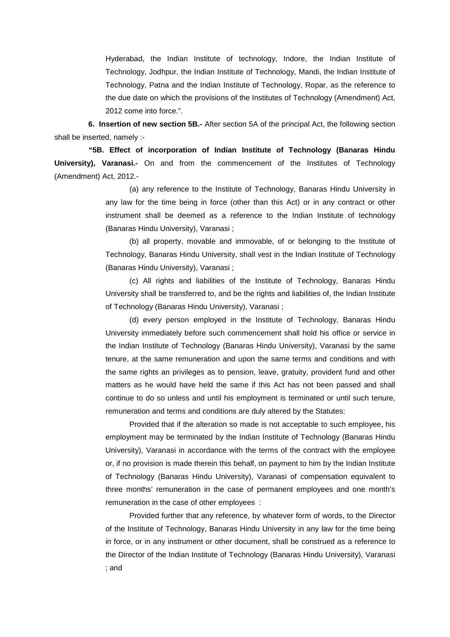Hyderabad, the Indian Institute of technology, Indore, the Indian Institute of Technology, Jodhpur, the Indian Institute of Technology, Mandi, the Indian Institute of Technology, Patna and the Indian Institute of Technology, Ropar, as the reference to the due date on which the provisions of the Institutes of Technology (Amendment) Act, 2012 come into force.".

**6. Insertion of new section 5B.-** After section 5A of the principal Act, the following section shall be inserted, namely :-

**"5B. Effect of incorporation of Indian Institute of Technology (Banaras Hindu University), Varanasi.-** On and from the commencement of the Institutes of Technology (Amendment) Act, 2012.-

> (a) any reference to the Institute of Technology, Banaras Hindu University in any law for the time being in force (other than this Act) or in any contract or other instrument shall be deemed as a reference to the Indian Institute of technology (Banaras Hindu University), Varanasi ;

> (b) all property, movable and immovable, of or belonging to the Institute of Technology, Banaras Hindu University, shall vest in the Indian Institute of Technology (Banaras Hindu University), Varanasi ;

> (c) All rights and liabilities of the Institute of Technology, Banaras Hindu University shall be transferred to, and be the rights and liabilities of, the Indian Institute of Technology (Banaras Hindu University), Varanasi ;

> (d) every person employed in the Institute of Technology, Banaras Hindu University immediately before such commencement shall hold his office or service in the Indian Institute of Technology (Banaras Hindu University), Varanasi by the same tenure, at the same remuneration and upon the same terms and conditions and with the same rights an privileges as to pension, leave, gratuity, provident fund and other matters as he would have held the same if this Act has not been passed and shall continue to do so unless and until his employment is terminated or until such tenure, remuneration and terms and conditions are duly altered by the Statutes:

> Provided that if the alteration so made is not acceptable to such employee, his employment may be terminated by the Indian Institute of Technology (Banaras Hindu University), Varanasi in accordance with the terms of the contract with the employee or, if no provision is made therein this behalf, on payment to him by the Indian Institute of Technology (Banaras Hindu University), Varanasi of compensation equivalent to three months' remuneration in the case of permanent employees and one month's remuneration in the case of other employees :

> Provided further that any reference, by whatever form of words, to the Director of the Institute of Technology, Banaras Hindu University in any law for the time being in force, or in any instrument or other document, shall be construed as a reference to the Director of the Indian Institute of Technology (Banaras Hindu University), Varanasi ; and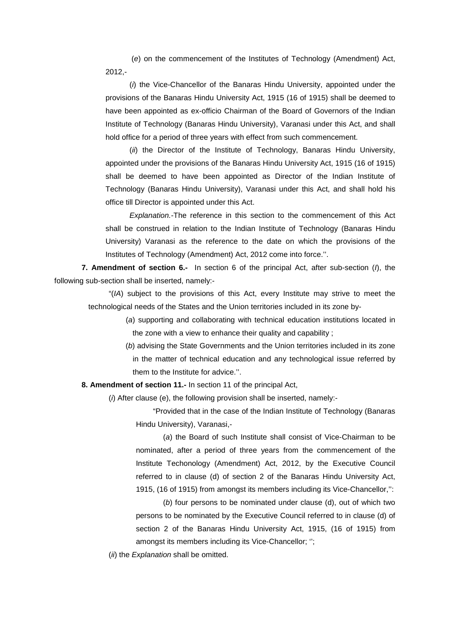(*e*) on the commencement of the Institutes of Technology (Amendment) Act, 2012,-

(*i*) the Vice-Chancellor of the Banaras Hindu University, appointed under the provisions of the Banaras Hindu University Act, 1915 (16 of 1915) shall be deemed to have been appointed as ex-officio Chairman of the Board of Governors of the Indian Institute of Technology (Banaras Hindu University), Varanasi under this Act, and shall hold office for a period of three years with effect from such commencement.

(*ii*) the Director of the Institute of Technology, Banaras Hindu University, appointed under the provisions of the Banaras Hindu University Act, 1915 (16 of 1915) shall be deemed to have been appointed as Director of the Indian Institute of Technology (Banaras Hindu University), Varanasi under this Act, and shall hold his office till Director is appointed under this Act.

*Explanation.-*The reference in this section to the commencement of this Act shall be construed in relation to the Indian Institute of Technology (Banaras Hindu University) Varanasi as the reference to the date on which the provisions of the Institutes of Technology (Amendment) Act, 2012 come into force.''.

**7. Amendment of section 6.-** In section 6 of the principal Act, after sub-section (*I*), the following sub-section shall be inserted, namely:-

"(*IA*) subject to the provisions of this Act, every Institute may strive to meet the technological needs of the States and the Union territories included in its zone by-

> (*a*) supporting and collaborating with technical education institutions located in the zone with a view to enhance their quality and capability ;

> (*b*) advising the State Governments and the Union territories included in its zone in the matter of technical education and any technological issue referred by them to the Institute for advice.''.

**8. Amendment of section 11.-** In section 11 of the principal Act,

(*i*) After clause (e), the following provision shall be inserted, namely:-

"Provided that in the case of the Indian Institute of Technology (Banaras Hindu University), Varanasi,-

(*a*) the Board of such Institute shall consist of Vice-Chairman to be nominated, after a period of three years from the commencement of the Institute Techonology (Amendment) Act, 2012, by the Executive Council referred to in clause (d) of section 2 of the Banaras Hindu University Act, 1915, (16 of 1915) from amongst its members including its Vice-Chancellor,'':

(*b*) four persons to be nominated under clause (d), out of which two persons to be nominated by the Executive Council referred to in clause (d) of section 2 of the Banaras Hindu University Act, 1915, (16 of 1915) from amongst its members including its Vice-Chancellor; '';

(*ii*) the *Explanation* shall be omitted.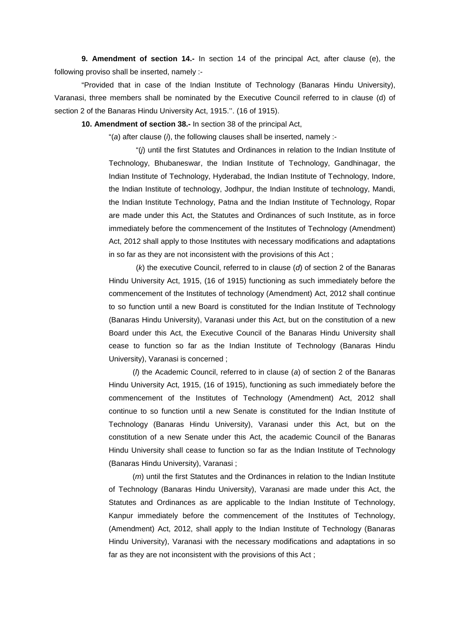**9. Amendment of section 14.-** In section 14 of the principal Act, after clause (e), the following proviso shall be inserted, namely :-

"Provided that in case of the Indian Institute of Technology (Banaras Hindu University), Varanasi, three members shall be nominated by the Executive Council referred to in clause (d) of section 2 of the Banaras Hindu University Act, 1915.''. (16 of 1915).

**10. Amendment of section 38.-** In section 38 of the principal Act,

"(*a*) after clause (*i*), the following clauses shall be inserted, namely :-

"(*j*) until the first Statutes and Ordinances in relation to the Indian Institute of Technology, Bhubaneswar, the Indian Institute of Technology, Gandhinagar, the Indian Institute of Technology, Hyderabad, the Indian Institute of Technology, Indore, the Indian Institute of technology, Jodhpur, the Indian Institute of technology, Mandi, the Indian Institute Technology, Patna and the Indian Institute of Technology, Ropar are made under this Act, the Statutes and Ordinances of such Institute, as in force immediately before the commencement of the Institutes of Technology (Amendment) Act, 2012 shall apply to those Institutes with necessary modifications and adaptations in so far as they are not inconsistent with the provisions of this Act ;

(*k*) the executive Council, referred to in clause (*d*) of section 2 of the Banaras Hindu University Act, 1915, (16 of 1915) functioning as such immediately before the commencement of the Institutes of technology (Amendment) Act, 2012 shall continue to so function until a new Board is constituted for the Indian Institute of Technology (Banaras Hindu University), Varanasi under this Act, but on the constitution of a new Board under this Act, the Executive Council of the Banaras Hindu University shall cease to function so far as the Indian Institute of Technology (Banaras Hindu University), Varanasi is concerned ;

(*l*) the Academic Council, referred to in clause (*a*) of section 2 of the Banaras Hindu University Act, 1915, (16 of 1915), functioning as such immediately before the commencement of the Institutes of Technology (Amendment) Act, 2012 shall continue to so function until a new Senate is constituted for the Indian Institute of Technology (Banaras Hindu University), Varanasi under this Act, but on the constitution of a new Senate under this Act, the academic Council of the Banaras Hindu University shall cease to function so far as the Indian Institute of Technology (Banaras Hindu University), Varanasi ;

(*m*) until the first Statutes and the Ordinances in relation to the Indian Institute of Technology (Banaras Hindu University), Varanasi are made under this Act, the Statutes and Ordinances as are applicable to the Indian Institute of Technology, Kanpur immediately before the commencement of the Institutes of Technology, (Amendment) Act, 2012, shall apply to the Indian Institute of Technology (Banaras Hindu University), Varanasi with the necessary modifications and adaptations in so far as they are not inconsistent with the provisions of this Act ;